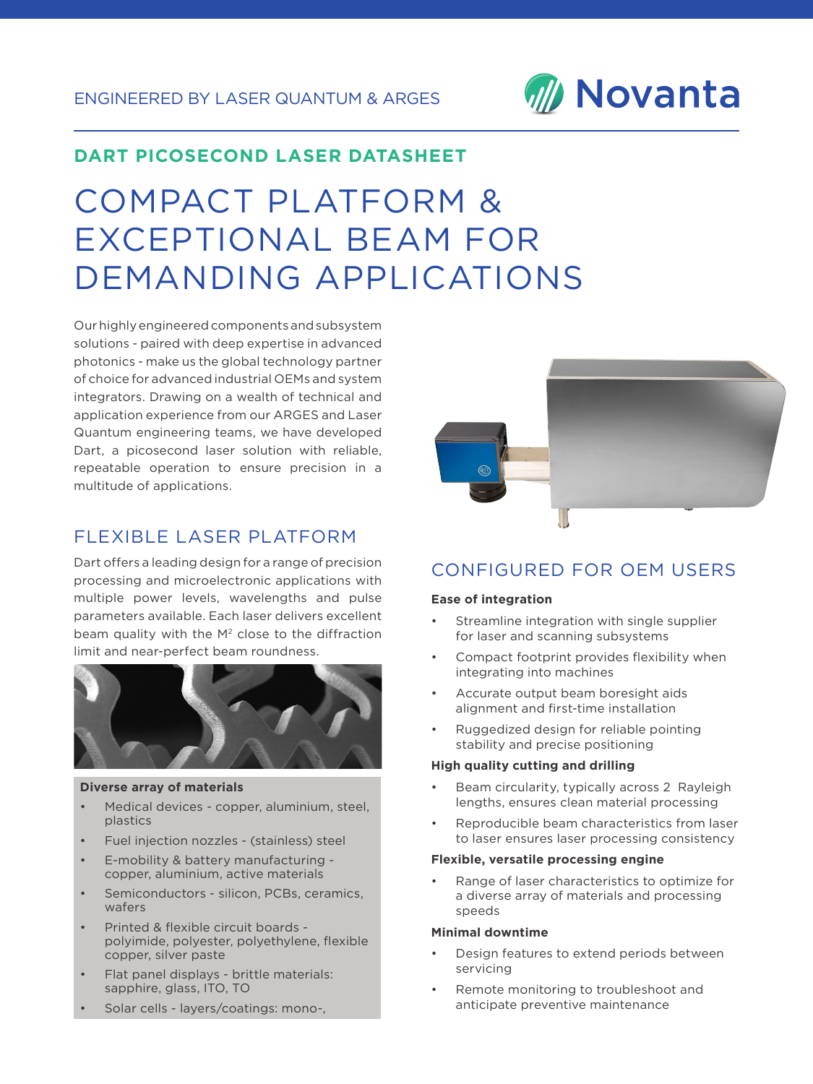

# COMPACT PLATFORM & EXCEPTIONAL BEAM FOR DEMANDING APPLICATIONS

Our highly engineered components and subsystem solutions - paired with deep expertise in advanced photonics - make us the global technology partner of choice for advanced industrial OEMs and system integrators. Drawing on a wealth of technical and application experience from our ARGES and Laser Quantum engineering teams, we have developed Dart, a picosecond laser solution with reliable, repeatable operation to ensure precision in a multitude of applications.

# FLEXIBLE LASER PLATFORM

Dart offers a leading design for a range of precision processing and microelectronic applications with multiple power levels, wavelengths and pulse parameters available. Each laser delivers excellent beam quality with the M<sup>2</sup> close to the diffraction limit and near-perfect beam roundness.



#### **Diverse array of materials**

- Medical devices copper, aluminium, steel, plastics
- Fuel injection nozzles (stainless) steel
- E-mobility & battery manufacturing copper, aluminium, active materials
- Semiconductors silicon, PCBs, ceramics, wafers
- Printed & flexible circuit boards polyimide, polyester, polyethylene, flexible copper, silver paste
- Flat panel displays brittle materials: sapphire, glass, ITO, TO
- Solar cells layers/coatings: mono-,



# CONFIGURED FOR OEM USERS

#### **Ease of integration**

- Streamline integration with single supplier for laser and scanning subsystems
- Compact footprint provides flexibility when integrating into machines
- Accurate output beam boresight aids alignment and first-time installation
- Ruggedized design for reliable pointing stability and precise positioning

#### **High quality cutting and drilling**

- Beam circularity, typically across 2 Rayleigh lengths, ensures clean material processing
- Reproducible beam characteristics from laser to laser ensures laser processing consistency

#### **Flexible, versatile processing engine**

Range of laser characteristics to optimize for a diverse array of materials and processing speeds

#### **Minimal downtime**

- Design features to extend periods between servicing
- Remote monitoring to troubleshoot and anticipate preventive maintenance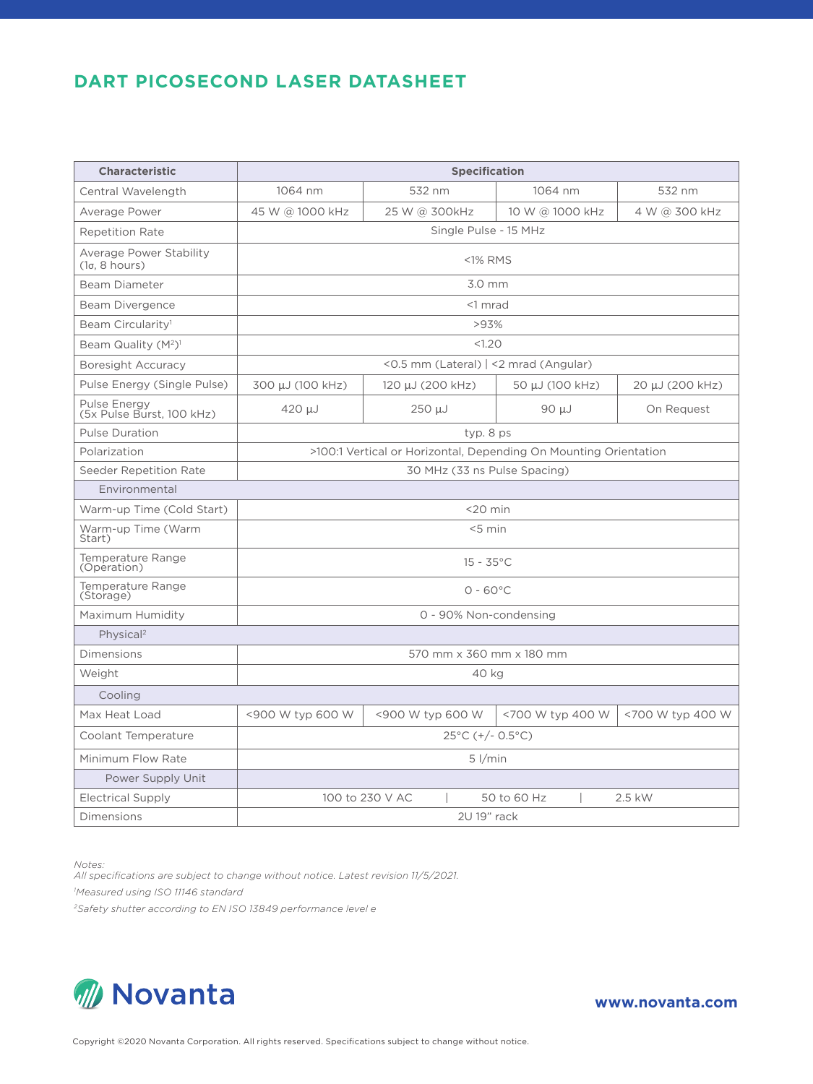| <b>Characteristic</b>                                 | Specification                                                    |                  |                  |                  |
|-------------------------------------------------------|------------------------------------------------------------------|------------------|------------------|------------------|
| Central Wavelength                                    | 1064 nm                                                          | 532 nm           | 1064 nm          | 532 nm           |
| Average Power                                         | 45 W @ 1000 kHz                                                  | 25 W @ 300kHz    | 10 W @ 1000 kHz  | 4 W @ 300 kHz    |
| <b>Repetition Rate</b>                                | Single Pulse - 15 MHz                                            |                  |                  |                  |
| Average Power Stability<br>(1 <sub>σ</sub> , 8 hours) | <1% RMS                                                          |                  |                  |                  |
| Beam Diameter                                         | 3.0 mm                                                           |                  |                  |                  |
| Beam Divergence                                       | <1 mrad                                                          |                  |                  |                  |
| Beam Circularity <sup>1</sup>                         | >93%                                                             |                  |                  |                  |
| Beam Quality (M <sup>2</sup> ) <sup>1</sup>           | < 1.20                                                           |                  |                  |                  |
| Boresight Accuracy                                    | <0.5 mm (Lateral)   <2 mrad (Angular)                            |                  |                  |                  |
| Pulse Energy (Single Pulse)                           | 300 μJ (100 kHz)                                                 | 120 μJ (200 kHz) | 50 µJ (100 kHz)  | 20 μJ (200 kHz)  |
| Pulse Energy<br>(5x Pulse Burst, 100 kHz)             | $420 \mu J$                                                      | 250 µJ           | $90 \mu J$       | On Request       |
| <b>Pulse Duration</b>                                 | typ. 8 ps                                                        |                  |                  |                  |
| Polarization                                          | >100:1 Vertical or Horizontal, Depending On Mounting Orientation |                  |                  |                  |
| Seeder Repetition Rate                                | 30 MHz (33 ns Pulse Spacing)                                     |                  |                  |                  |
| Environmental                                         |                                                                  |                  |                  |                  |
| Warm-up Time (Cold Start)                             | $<$ 20 min                                                       |                  |                  |                  |
| Warm-up Time (Warm<br>Start)                          | $< 5$ min                                                        |                  |                  |                  |
| Temperature Range<br>(Operation)                      | $15 - 35^{\circ}$ C                                              |                  |                  |                  |
| Temperature Range<br>(Storage)                        | $0 - 60^{\circ}$ C                                               |                  |                  |                  |
| Maximum Humidity                                      | 0 - 90% Non-condensing                                           |                  |                  |                  |
| Physical <sup>2</sup>                                 |                                                                  |                  |                  |                  |
| <b>Dimensions</b>                                     | 570 mm x 360 mm x 180 mm                                         |                  |                  |                  |
| Weight                                                | 40 kg                                                            |                  |                  |                  |
| Cooling                                               |                                                                  |                  |                  |                  |
| Max Heat Load                                         | <900 W typ 600 W                                                 | <900 W typ 600 W | <700 W typ 400 W | <700 W typ 400 W |
| Coolant Temperature                                   | $25^{\circ}$ C (+/- 0.5 $^{\circ}$ C)                            |                  |                  |                  |
| Minimum Flow Rate                                     | $5$ $1/min$                                                      |                  |                  |                  |
| Power Supply Unit                                     |                                                                  |                  |                  |                  |
| Electrical Supply                                     | 100 to 230 V AC<br>50 to 60 Hz<br>2.5 kW                         |                  |                  |                  |
| Dimensions                                            | 2U 19" rack                                                      |                  |                  |                  |

*Notes:*

*All specifications are subject to change without notice. Latest revision 11/5/2021.*

*1 Measured using ISO 11146 standard*

*2Safety shutter according to EN ISO 13849 performance level e*

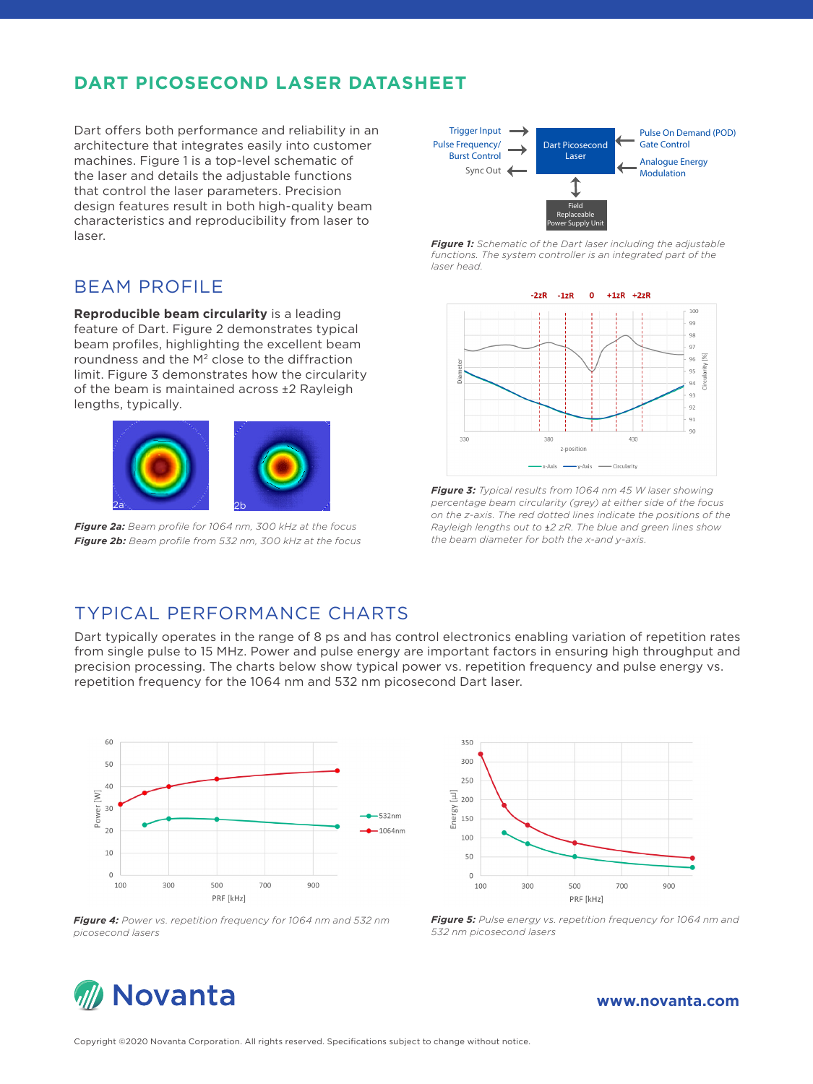Dart offers both performance and reliability in an architecture that integrates easily into customer machines. Figure 1 is a top-level schematic of the laser and details the adjustable functions that control the laser parameters. Precision design features result in both high-quality beam characteristics and reproducibility from laser to laser.

## BEAM PROFILE

**Reproducible beam circularity** is a leading feature of Dart. Figure 2 demonstrates typical beam profiles, highlighting the excellent beam roundness and the M2 close to the diffraction limit. Figure 3 demonstrates how the circularity of the beam is maintained across ±2 Rayleigh lengths, typically.



*Figure 2a: Beam profile for 1064 nm, 300 kHz at the focus Figure 2b: Beam profile from 532 nm, 300 kHz at the focus*



*Figure 1: Schematic of the Dart laser including the adjustable functions. The system controller is an integrated part of the laser head.*



*Figure 3: Typical results from 1064 nm 45 W laser showing percentage beam circularity (grey) at either side of the focus on the z-axis. The red dotted lines indicate the positions of the Rayleigh lengths out to* ±*2 zR. The blue and green lines show the beam diameter for both the x-and y-axis.*

## TYPICAL PERFORMANCE CHARTS

Dart typically operates in the range of 8 ps and has control electronics enabling variation of repetition rates from single pulse to 15 MHz. Power and pulse energy are important factors in ensuring high throughput and precision processing. The charts below show typical power vs. repetition frequency and pulse energy vs. repetition frequency for the 1064 nm and 532 nm picosecond Dart laser.



350 300 250  $\overline{\Xi}$  200 Energy 150  $100$ 50  $\circ$ 100 300 500 700  $900$ PRF [kHz]

*Figure 4: Power vs. repetition frequency for 1064 nm and 532 nm picosecond lasers*

*Figure 5: Pulse energy vs. repetition frequency for 1064 nm and 532 nm picosecond lasers*



#### **www.novanta.com**